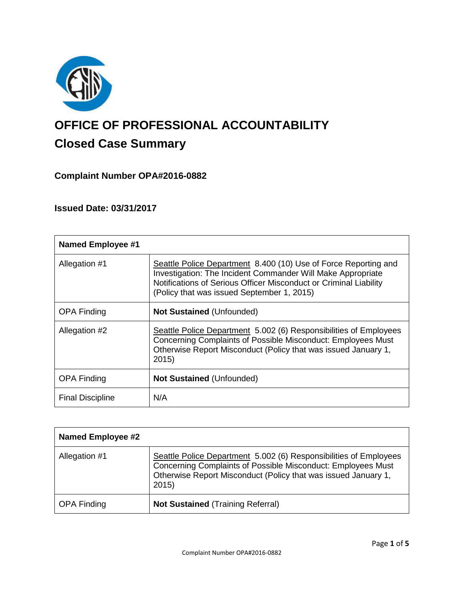

# **OFFICE OF PROFESSIONAL ACCOUNTABILITY Closed Case Summary**

# **Complaint Number OPA#2016-0882**

# **Issued Date: 03/31/2017**

| <b>Named Employee #1</b> |                                                                                                                                                                                                                                                   |
|--------------------------|---------------------------------------------------------------------------------------------------------------------------------------------------------------------------------------------------------------------------------------------------|
| Allegation #1            | Seattle Police Department 8.400 (10) Use of Force Reporting and<br>Investigation: The Incident Commander Will Make Appropriate<br>Notifications of Serious Officer Misconduct or Criminal Liability<br>(Policy that was issued September 1, 2015) |
| <b>OPA Finding</b>       | <b>Not Sustained (Unfounded)</b>                                                                                                                                                                                                                  |
| Allegation #2            | Seattle Police Department 5.002 (6) Responsibilities of Employees<br>Concerning Complaints of Possible Misconduct: Employees Must<br>Otherwise Report Misconduct (Policy that was issued January 1,<br>2015                                       |
| <b>OPA Finding</b>       | <b>Not Sustained (Unfounded)</b>                                                                                                                                                                                                                  |
| <b>Final Discipline</b>  | N/A                                                                                                                                                                                                                                               |

| Named Employee #2  |                                                                                                                                                                                                              |
|--------------------|--------------------------------------------------------------------------------------------------------------------------------------------------------------------------------------------------------------|
| Allegation #1      | Seattle Police Department 5.002 (6) Responsibilities of Employees<br>Concerning Complaints of Possible Misconduct: Employees Must<br>Otherwise Report Misconduct (Policy that was issued January 1,<br>2015) |
| <b>OPA Finding</b> | <b>Not Sustained (Training Referral)</b>                                                                                                                                                                     |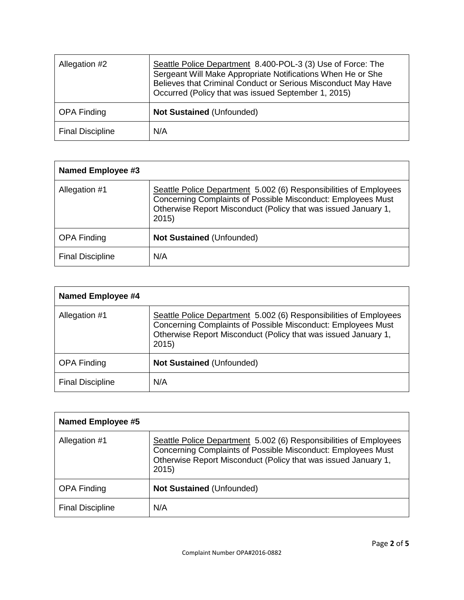| Allegation #2           | Seattle Police Department 8.400-POL-3 (3) Use of Force: The<br>Sergeant Will Make Appropriate Notifications When He or She<br>Believes that Criminal Conduct or Serious Misconduct May Have<br>Occurred (Policy that was issued September 1, 2015) |
|-------------------------|----------------------------------------------------------------------------------------------------------------------------------------------------------------------------------------------------------------------------------------------------|
| <b>OPA Finding</b>      | <b>Not Sustained (Unfounded)</b>                                                                                                                                                                                                                   |
| <b>Final Discipline</b> | N/A                                                                                                                                                                                                                                                |

| <b>Named Employee #3</b> |                                                                                                                                                                                                             |
|--------------------------|-------------------------------------------------------------------------------------------------------------------------------------------------------------------------------------------------------------|
| Allegation #1            | Seattle Police Department 5.002 (6) Responsibilities of Employees<br>Concerning Complaints of Possible Misconduct: Employees Must<br>Otherwise Report Misconduct (Policy that was issued January 1,<br>2015 |
| <b>OPA Finding</b>       | <b>Not Sustained (Unfounded)</b>                                                                                                                                                                            |
| <b>Final Discipline</b>  | N/A                                                                                                                                                                                                         |

| Named Employee #4       |                                                                                                                                                                                                             |
|-------------------------|-------------------------------------------------------------------------------------------------------------------------------------------------------------------------------------------------------------|
| Allegation #1           | Seattle Police Department 5.002 (6) Responsibilities of Employees<br>Concerning Complaints of Possible Misconduct: Employees Must<br>Otherwise Report Misconduct (Policy that was issued January 1,<br>2015 |
| <b>OPA Finding</b>      | <b>Not Sustained (Unfounded)</b>                                                                                                                                                                            |
| <b>Final Discipline</b> | N/A                                                                                                                                                                                                         |

| <b>Named Employee #5</b> |                                                                                                                                                                                                             |
|--------------------------|-------------------------------------------------------------------------------------------------------------------------------------------------------------------------------------------------------------|
| Allegation #1            | Seattle Police Department 5.002 (6) Responsibilities of Employees<br>Concerning Complaints of Possible Misconduct: Employees Must<br>Otherwise Report Misconduct (Policy that was issued January 1,<br>2015 |
| <b>OPA Finding</b>       | <b>Not Sustained (Unfounded)</b>                                                                                                                                                                            |
| <b>Final Discipline</b>  | N/A                                                                                                                                                                                                         |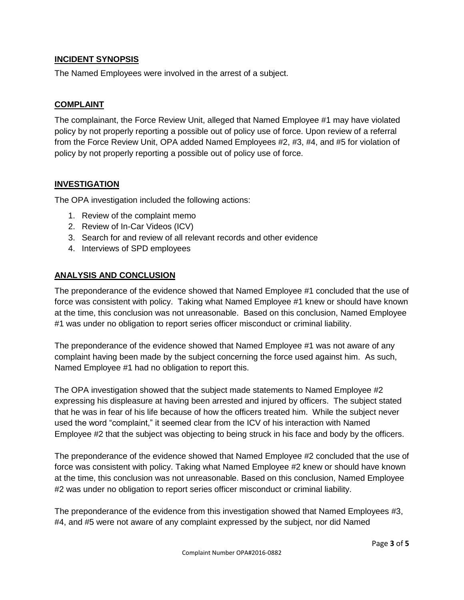#### **INCIDENT SYNOPSIS**

The Named Employees were involved in the arrest of a subject.

#### **COMPLAINT**

The complainant, the Force Review Unit, alleged that Named Employee #1 may have violated policy by not properly reporting a possible out of policy use of force. Upon review of a referral from the Force Review Unit, OPA added Named Employees #2, #3, #4, and #5 for violation of policy by not properly reporting a possible out of policy use of force.

#### **INVESTIGATION**

The OPA investigation included the following actions:

- 1. Review of the complaint memo
- 2. Review of In-Car Videos (ICV)
- 3. Search for and review of all relevant records and other evidence
- 4. Interviews of SPD employees

#### **ANALYSIS AND CONCLUSION**

The preponderance of the evidence showed that Named Employee #1 concluded that the use of force was consistent with policy. Taking what Named Employee #1 knew or should have known at the time, this conclusion was not unreasonable. Based on this conclusion, Named Employee #1 was under no obligation to report series officer misconduct or criminal liability.

The preponderance of the evidence showed that Named Employee #1 was not aware of any complaint having been made by the subject concerning the force used against him. As such, Named Employee #1 had no obligation to report this.

The OPA investigation showed that the subject made statements to Named Employee #2 expressing his displeasure at having been arrested and injured by officers. The subject stated that he was in fear of his life because of how the officers treated him. While the subject never used the word "complaint," it seemed clear from the ICV of his interaction with Named Employee #2 that the subject was objecting to being struck in his face and body by the officers.

The preponderance of the evidence showed that Named Employee #2 concluded that the use of force was consistent with policy. Taking what Named Employee #2 knew or should have known at the time, this conclusion was not unreasonable. Based on this conclusion, Named Employee #2 was under no obligation to report series officer misconduct or criminal liability.

The preponderance of the evidence from this investigation showed that Named Employees #3, #4, and #5 were not aware of any complaint expressed by the subject, nor did Named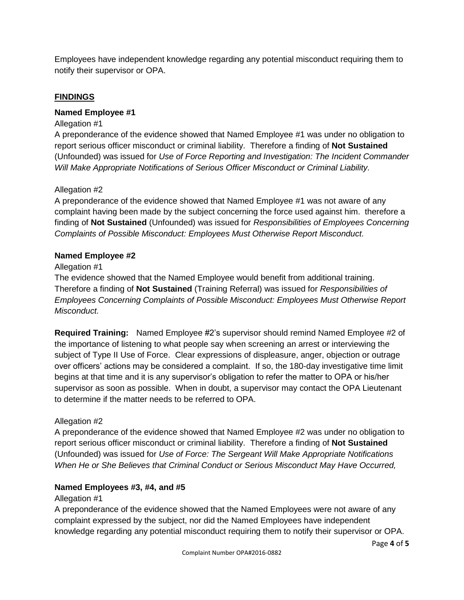Employees have independent knowledge regarding any potential misconduct requiring them to notify their supervisor or OPA.

## **FINDINGS**

#### **Named Employee #1**

#### Allegation #1

A preponderance of the evidence showed that Named Employee #1 was under no obligation to report serious officer misconduct or criminal liability. Therefore a finding of **Not Sustained** (Unfounded) was issued for *Use of Force Reporting and Investigation: The Incident Commander Will Make Appropriate Notifications of Serious Officer Misconduct or Criminal Liability.*

#### Allegation #2

A preponderance of the evidence showed that Named Employee #1 was not aware of any complaint having been made by the subject concerning the force used against him. therefore a finding of **Not Sustained** (Unfounded) was issued for *Responsibilities of Employees Concerning Complaints of Possible Misconduct: Employees Must Otherwise Report Misconduct.*

#### **Named Employee #2**

#### Allegation #1

The evidence showed that the Named Employee would benefit from additional training. Therefore a finding of **Not Sustained** (Training Referral) was issued for *Responsibilities of Employees Concerning Complaints of Possible Misconduct: Employees Must Otherwise Report Misconduct.*

**Required Training:** Named Employee #2's supervisor should remind Named Employee #2 of the importance of listening to what people say when screening an arrest or interviewing the subject of Type II Use of Force. Clear expressions of displeasure, anger, objection or outrage over officers' actions may be considered a complaint. If so, the 180-day investigative time limit begins at that time and it is any supervisor's obligation to refer the matter to OPA or his/her supervisor as soon as possible. When in doubt, a supervisor may contact the OPA Lieutenant to determine if the matter needs to be referred to OPA.

## Allegation #2

A preponderance of the evidence showed that Named Employee #2 was under no obligation to report serious officer misconduct or criminal liability. Therefore a finding of **Not Sustained** (Unfounded) was issued for *Use of Force: The Sergeant Will Make Appropriate Notifications When He or She Believes that Criminal Conduct or Serious Misconduct May Have Occurred,*

## **Named Employees #3, #4, and #5**

#### Allegation #1

A preponderance of the evidence showed that the Named Employees were not aware of any complaint expressed by the subject, nor did the Named Employees have independent knowledge regarding any potential misconduct requiring them to notify their supervisor or OPA.